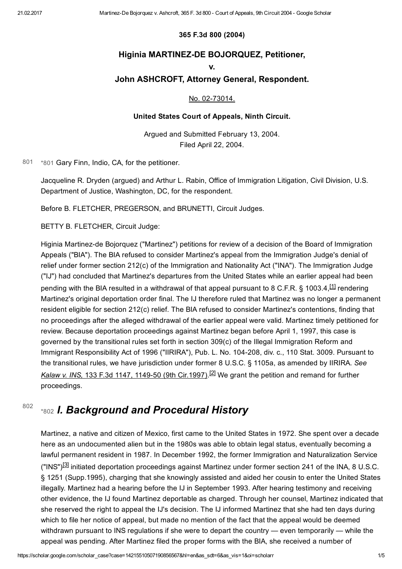# 365 F.3d 800 (2004)

# Higinia MARTINEZ-DE BOJORQUEZ, Petitioner,

### v.

# John ASHCROFT, Attorney General, Respondent.

## <span id="page-0-2"></span>No. 02-73014.

## United States Court of Appeals, Ninth Circuit.

Argued and Submitted February 13, 2004. Filed April 22, 2004.

[801](#page-0-0) [\\*801](#page-0-0) Gary Finn, Indio, CA, for the petitioner.

<span id="page-0-0"></span>Jacqueline R. Dryden (argued) and Arthur L. Rabin, Office of Immigration Litigation, Civil Division, U.S. Department of Justice, Washington, DC, for the respondent.

Before B. FLETCHER, PREGERSON, and BRUNETTI, Circuit Judges.

BETTY B. FLETCHER, Circuit Judge:

Higinia Martinez-de Bojorquez ("Martinez") petitions for review of a decision of the Board of Immigration Appeals ("BIA"). The BIA refused to consider Martinez's appeal from the Immigration Judge's denial of relief under former section 212(c) of the Immigration and Nationality Act ("INA"). The Immigration Judge ("IJ") had concluded that Martinez's departures from the United States while an earlier appeal had been pending with the BIA resulted in a withdrawal of that appeal pursuant to 8 C.F.R. § 1003.4,<sup>[\[1\]](#page-4-0)</sup> rendering Martinez's original deportation order final. The IJ therefore ruled that Martinez was no longer a permanent resident eligible for section 212(c) relief. The BIA refused to consider Martinez's contentions, finding that no proceedings after the alleged withdrawal of the earlier appeal were valid. Martinez timely petitioned for review. Because deportation proceedings against Martinez began before April 1, 1997, this case is governed by the transitional rules set forth in section 309(c) of the Illegal Immigration Reform and Immigrant Responsibility Act of 1996 ("IIRIRA"), Pub. L. No. 104208, div. c., 110 Stat. 3009. Pursuant to the transitional rules, we have jurisdiction under former 8 U.S.C. § 1105a, as amended by IIRIRA. See Kalaw v. INS, 133 F.3d 1147, 1149-50 (9th Cir.1997).<sup>[\[2\]](#page-4-1)</sup> We grant the petition and remand for further proceedings.

#### <span id="page-0-1"></span>[\\*802](#page-0-1) I. Background and Procedural History [802](#page-0-1)

<span id="page-0-4"></span><span id="page-0-3"></span>Martinez, a native and citizen of Mexico, first came to the United States in 1972. She spent over a decade here as an undocumented alien but in the 1980s was able to obtain legal status, eventually becoming a lawful permanent resident in 1987. In December 1992, the former Immigration and Naturalization Service ("INS")<sup>[\[3\]](#page-4-2)</sup> initiated deportation proceedings against Martinez under former section 241 of the INA, 8 U.S.C. § 1251 (Supp.1995), charging that she knowingly assisted and aided her cousin to enter the United States illegally. Martinez had a hearing before the IJ in September 1993. After hearing testimony and receiving other evidence, the IJ found Martinez deportable as charged. Through her counsel, Martinez indicated that she reserved the right to appeal the IJ's decision. The IJ informed Martinez that she had ten days during which to file her notice of appeal, but made no mention of the fact that the appeal would be deemed withdrawn pursuant to INS regulations if she were to depart the country — even temporarily — while the appeal was pending. After Martinez filed the proper forms with the BIA, she received a number of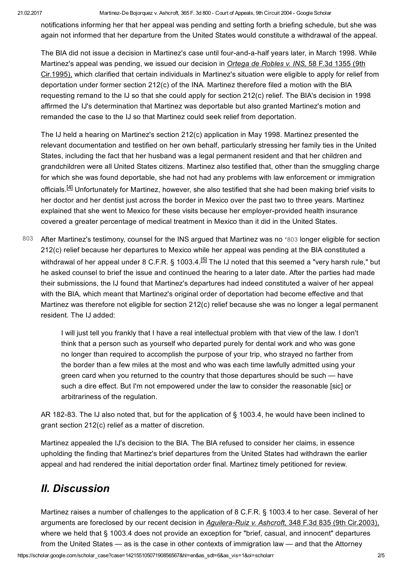### 21.02.2017 Martinez-De Bojorquez v. Ashcroft, 365 F. 3d 800 - Court of Appeals, 9th Circuit 2004 - Google Scholar

notifications informing her that her appeal was pending and setting forth a briefing schedule, but she was again not informed that her departure from the United States would constitute a withdrawal of the appeal.

The BIA did not issue a decision in Martinez's case until four-and-a-half years later, in March 1998. While Martinez's appeal was pending, we issued our decision in *Ortega de Robles v. INS*, 58 F.3d 1355 (9th Cir.1995), which clarified that certain individuals in Martinez's situation were eligible to apply for relief from deportation under former section 212(c) of the INA. Martinez therefore filed a motion with the BIA requesting remand to the IJ so that she could apply for section 212(c) relief. The BIA's decision in 1998 affirmed the IJ's determination that Martinez was deportable but also granted Martinez's motion and remanded the case to the IJ so that Martinez could seek relief from deportation.

<span id="page-1-1"></span>The IJ held a hearing on Martinez's section 212(c) application in May 1998. Martinez presented the relevant documentation and testified on her own behalf, particularly stressing her family ties in the United States, including the fact that her husband was a legal permanent resident and that her children and grandchildren were all United States citizens. Martinez also testified that, other than the smuggling charge for which she was found deportable, she had not had any problems with law enforcement or immigration officials.<sup>[\[4\]](#page-4-3)</sup> Unfortunately for Martinez, however, she also testified that she had been making brief visits to her doctor and her dentist just across the border in Mexico over the past two to three years. Martinez explained that she went to Mexico for these visits because her employer-provided health insurance covered a greater percentage of medical treatment in Mexico than it did in the United States.

After Martinez's testimony, counsel for the INS argued that Martinez was no [\\*803](#page-1-0) longer eligible for section 212(c) relief because her departures to Mexico while her appeal was pending at the BIA constituted a withdrawal of her appeal under 8 C.F.R. § 1003.4.<sup>[\[5\]](#page-4-4)</sup> The IJ noted that this seemed a "very harsh rule," but he asked counsel to brief the issue and continued the hearing to a later date. After the parties had made their submissions, the IJ found that Martinez's departures had indeed constituted a waiver of her appeal with the BIA, which meant that Martinez's original order of deportation had become effective and that Martinez was therefore not eligible for section 212(c) relief because she was no longer a legal permanent resident. The IJ added: [803](#page-1-0)

> <span id="page-1-2"></span><span id="page-1-0"></span>I will just tell you frankly that I have a real intellectual problem with that view of the law. I don't think that a person such as yourself who departed purely for dental work and who was gone no longer than required to accomplish the purpose of your trip, who strayed no farther from the border than a few miles at the most and who was each time lawfully admitted using your green card when you returned to the country that those departures should be such — have such a dire effect. But I'm not empowered under the law to consider the reasonable [sic] or arbitrariness of the regulation.

AR 182-83. The IJ also noted that, but for the application of § 1003.4, he would have been inclined to grant section 212(c) relief as a matter of discretion.

Martinez appealed the IJ's decision to the BIA. The BIA refused to consider her claims, in essence upholding the finding that Martinez's brief departures from the United States had withdrawn the earlier appeal and had rendered the initial deportation order final. Martinez timely petitioned for review.

# II. Discussion

Martinez raises a number of challenges to the application of 8 C.F.R. § 1003.4 to her case. Several of her arguments are foreclosed by our recent decision in Aguilera-Ruiz v. Ashcroft, 348 F.3d 835 (9th Cir.2003), where we held that § 1003.4 does not provide an exception for "brief, casual, and innocent" departures from the United States — as is the case in other contexts of immigration law — and that the Attorney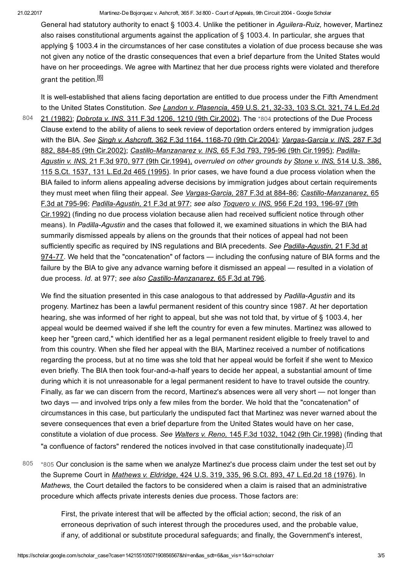General had statutory authority to enact § 1003.4. Unlike the petitioner in Aguilera-Ruiz, however, Martinez also raises constitutional arguments against the application of § 1003.4. In particular, she argues that applying § 1003.4 in the circumstances of her case constitutes a violation of due process because she was not given any notice of the drastic consequences that even a brief departure from the United States would have on her proceedings. We agree with Martinez that her due process rights were violated and therefore grant the petition.<sup>[\[6\]](#page-4-5)</sup>

[804](#page-2-0)

<span id="page-2-2"></span><span id="page-2-0"></span>It is well-established that aliens facing deportation are entitled to due process under the Fifth Amendment to the United States Constitution. See Landon v. Plasencia, 459 U.S. 21, 32-33, 103 S.Ct. 321, 74 L.Ed.2d 21 (1982); Dobrota v. INS, 311 F.3d 1206, 1210 (9th Cir.2002). The [\\*804](#page-2-0) protections of the Due Process Clause extend to the ability of aliens to seek review of deportation orders entered by immigration judges with the BIA. See Singh v. Ashcroft, 362 F.3d 1164, 1168-70 (9th Cir.2004); Vargas-Garcia v. INS, 287 F.3d 882, 884-85 (9th Cir.2002); Castillo-Manzanarez v. INS, 65 F.3d 793, 795-96 (9th Cir.1995); Padilla-Agustin v. INS, 21 F.3d 970, 977 (9th Cir.1994), overruled on other grounds by Stone v. INS, 514 U.S. 386, 115 S.Ct. 1537, 131 L.Ed.2d 465 (1995). In prior cases, we have found a due process violation when the BIA failed to inform aliens appealing adverse decisions by immigration judges about certain requirements they must meet when filing their appeal. See Vargas-Garcia, 287 F.3d at 884-86; Castillo-Manzanarez, 65 F.3d at 795-96; Padilla-Agustin, 21 F.3d at 977; see also Toquero v. INS, 956 F.2d 193, 196-97 (9th Cir.1992) (finding no due process violation because alien had received sufficient notice through other means). In Padilla-Agustin and the cases that followed it, we examined situations in which the BIA had summarily dismissed appeals by aliens on the grounds that their notices of appeal had not been sufficiently specific as required by INS requlations and BIA precedents. See Padilla-Agustin, 21 F.3d at 974-77. We held that the "concatenation" of factors — including the confusing nature of BIA forms and the failure by the BIA to give any advance warning before it dismissed an appeal — resulted in a violation of due process. Id. at 977; see also Castillo-Manzanarez, 65 F.3d at 796.

We find the situation presented in this case analogous to that addressed by Padilla-Agustin and its progeny. Martinez has been a lawful permanent resident of this country since 1987. At her deportation hearing, she was informed of her right to appeal, but she was not told that, by virtue of § 1003.4, her appeal would be deemed waived if she left the country for even a few minutes. Martinez was allowed to keep her "green card," which identified her as a legal permanent resident eligible to freely travel to and from this country. When she filed her appeal with the BIA, Martinez received a number of notifications regarding the process, but at no time was she told that her appeal would be forfeit if she went to Mexico even briefly. The BIA then took four-and-a-half years to decide her appeal, a substantial amount of time during which it is not unreasonable for a legal permanent resident to have to travel outside the country. Finally, as far we can discern from the record, Martinez's absences were all very short — not longer than two days — and involved trips only a few miles from the border. We hold that the "concatenation" of circumstances in this case, but particularly the undisputed fact that Martinez was never warned about the severe consequences that even a brief departure from the United States would have on her case, constitute a violation of due process. See Walters v. Reno, 145 F.3d 1032, 1042 (9th Cir.1998) (finding that "a confluence of factors" rendered the notices involved in that case constitutionally inadequate).  $\Box$ 

<span id="page-2-1"></span>[\\*805](#page-2-1) Our conclusion is the same when we analyze Martinez's due process claim under the test set out by the Supreme Court in Mathews v. Eldridge, 424 U.S. 319, 335, 96 S.Ct. 893, 47 L.Ed.2d 18 (1976). In Mathews, the Court detailed the factors to be considered when a claim is raised that an administrative procedure which affects private interests denies due process. Those factors are: [805](#page-2-1)

> <span id="page-2-3"></span>First, the private interest that will be affected by the official action; second, the risk of an erroneous deprivation of such interest through the procedures used, and the probable value, if any, of additional or substitute procedural safeguards; and finally, the Government's interest,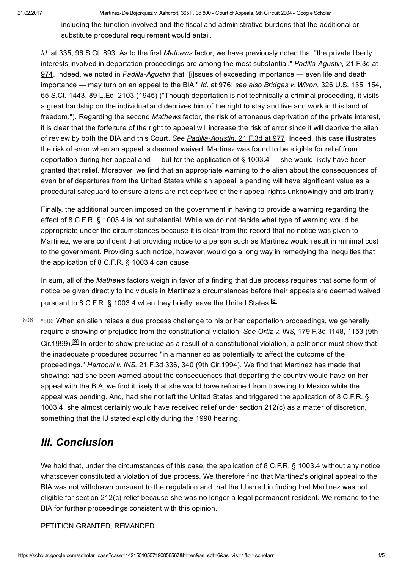including the function involved and the fiscal and administrative burdens that the additional or substitute procedural requirement would entail.

Id. at 335, 96 S.Ct. 893. As to the first Mathews factor, we have previously noted that "the private liberty interests involved in deportation proceedings are among the most substantial." Padilla-Agustin, 21 F.3d at 974. Indeed, we noted in Padilla-Agustin that "[i]ssues of exceeding importance — even life and death importance — may turn on an appeal to the BIA." Id. at 976; see also Bridges v. Wixon, 326 U.S. 135, 154, 65 S.Ct. 1443, 89 L.Ed. 2103 (1945) ("Though deportation is not technically a criminal proceeding, it visits a great hardship on the individual and deprives him of the right to stay and live and work in this land of freedom."). Regarding the second Mathews factor, the risk of erroneous deprivation of the private interest, it is clear that the forfeiture of the right to appeal will increase the risk of error since it will deprive the alien of review by both the BIA and this Court. See Padilla-Agustin, 21 F.3d at 977. Indeed, this case illustrates the risk of error when an appeal is deemed waived: Martinez was found to be eligible for relief from deportation during her appeal and — but for the application of  $\S$  1003.4 — she would likely have been granted that relief. Moreover, we find that an appropriate warning to the alien about the consequences of even brief departures from the United States while an appeal is pending will have significant value as a procedural safeguard to ensure aliens are not deprived of their appeal rights unknowingly and arbitrarily.

Finally, the additional burden imposed on the government in having to provide a warning regarding the effect of 8 C.F.R. § 1003.4 is not substantial. While we do not decide what type of warning would be appropriate under the circumstances because it is clear from the record that no notice was given to Martinez, we are confident that providing notice to a person such as Martinez would result in minimal cost to the government. Providing such notice, however, would go a long way in remedying the inequities that the application of 8 C.F.R. § 1003.4 can cause.

<span id="page-3-1"></span>In sum, all of the Mathews factors weigh in favor of a finding that due process requires that some form of notice be given directly to individuals in Martinez's circumstances before their appeals are deemed waived pursuant to 8 C.F.R. § 1003.4 when they briefly leave the United States.<sup>[\[8\]](#page-4-7)</sup>

<span id="page-3-2"></span><span id="page-3-0"></span>[\\*806](#page-3-0) When an alien raises a due process challenge to his or her deportation proceedings, we generally require a showing of prejudice from the constitutional violation. See Ortiz v. INS, 179 F.3d 1148, 1153 (9th Cir.1999).<sup>[\[9\]](#page-4-8)</sup> In order to show prejudice as a result of a constitutional violation, a petitioner must show that the inadequate procedures occurred "in a manner so as potentially to affect the outcome of the proceedings." Hartooni v. INS, 21 F.3d 336, 340 (9th Cir.1994). We find that Martinez has made that showing: had she been warned about the consequences that departing the country would have on her appeal with the BIA, we find it likely that she would have refrained from traveling to Mexico while the appeal was pending. And, had she not left the United States and triggered the application of 8 C.F.R. § 1003.4, she almost certainly would have received relief under section 212(c) as a matter of discretion, something that the IJ stated explicitly during the 1998 hearing. [806](#page-3-0)

# III. Conclusion

We hold that, under the circumstances of this case, the application of 8 C.F.R. § 1003.4 without any notice whatsoever constituted a violation of due process. We therefore find that Martinez's original appeal to the BIA was not withdrawn pursuant to the regulation and that the IJ erred in finding that Martinez was not eligible for section 212(c) relief because she was no longer a legal permanent resident. We remand to the BIA for further proceedings consistent with this opinion.

PETITION GRANTED; REMANDED.